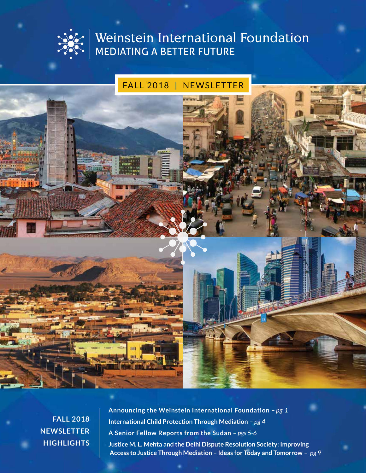

# Weinstein International Foundation<br>MEDIATING A BETTER FUTURE

# FALL 2018 | NEWSLETTER

**fall 2018 Newsletter Highlights** **Announcing the Weinstein International Foundation –** *pg 1* **International Child Protection Through Mediation –** *pg 4* **A Senior Fellow Reports from the Sudan –** *pgs 5-6* **Justice M. L. Mehta and the Delhi Dispute Resolution Society: Improving Access to Justice Through Mediation – Ideas for Today and Tomorrow –** *pg 9*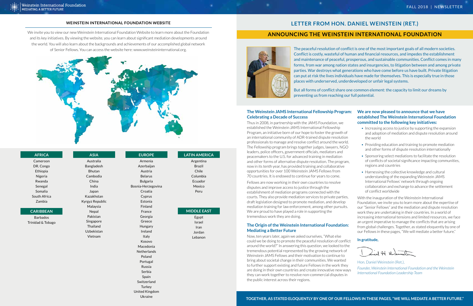The peaceful resolution of conflict is one of the most important goals of all modern societies. Conflict is costly, wasteful of human and financial resources, and impedes the establishment and maintenance of peaceful, prosperous, and sustainable communities. Conflict comes in many forms, from war among nation states and insurgencies, to litigation between and among private parties. War destroys what generations who have come before us have built. Private litigation can put at risk the lives individuals have made for themselves. This is especially true in those places with underserved, underdeveloped or unfair legal systems.

But all forms of conflict share one common element: the capacity to limit our dreams by preventing us from reaching our full potential.

established the Weinstein JAMS International Fellowship Program, an initiative born of our hope to foster the growth of an international community of ADR-trained dispute resolution professionals to manage and resolve conflict around the world. The Fellowship program brings together judges, lawyers, NGO leaders, police officers, government officials, mediators and peacemakers to the U.S. for advanced training in mediation and other forms of alternative dispute resolution. The program, now in its tenth year, has provided training and collaborative opportunities for over 100 Weinstein JAMS Fellows from 70 countries. It is endowed to continue for years to come.

Fellows are now working in their own countries to resolve disputes and improve access to justice through the establishment of mediation programs connected with the courts. They also provide mediation services to private parties, draft legislation designed to promote mediation, and develop mediation training for law enforcement, among other pursuits. We are proud to have played a role in supporting the tremendous work they are doing.

### **The Weinstein JAMS International Fellowship Program: Celebrating a Decade of Success** Thus in 2008, in partnership with the JAMS Foundation, we **We are now pleased to announce that we have established The Weinstein International Foundation committed to the following key initiatives:**

- Increasing access to justice by supporting the expansion and adoption of mediation and dispute resolution around the world
- Providing education and training to promote mediation and other forms of dispute resolution internationally
- Sponsoring select mediations to facilitate the resolution of conflicts of societal significance impacting communities, regions and countries
- Harnessing the collective knowledge and cultural understanding of the expanding Weinstein JAMS International Fellows' network through ongoing collaboration and exchange to advance the settlement of conflict worldwide
- With the inauguration of the Weinstein International Foundation, we invite you to learn more about the expertise of our "Senior Fellows" and the mediation and dispute resolution work they are undertaking in their countries. In a world of increasing international tensions and limited resources, we face an urgent imperative to manage the conflicts that are arising
- from global challenges. Together, as stated eloquently by one of our Fellows in these pages, "We will mediate a better future."
- 

# **The Origin of the Weinstein International Foundation: Mediating a Better Future**

Now, ten years later, again we asked ourselves, "What else **In gratitude,** could we be doing to promote the peaceful resolution of conflict around the world?" In answering this question, we looked to the tremendous potential represented by the growing network of  $1714) - 0$ Weinstein JAMS Fellows and their motivation to continue to bring about societal change in their communities. We wanted Hon. Daniel Weinstein (Ret.), to further support existing and future Fellows in the work they *Founder, Weinstein International Foundation and the Weinstein*  are doing in their own countries and create innovative new ways *International Foundation Leadership Team* they can work together to resolve non-commercial disputes in the public interest across their regions.

### **Weinstein International Foundation Website**

We invite you to view our new Weinstein International Foundation Website to learn more about the Foundation and its key initiatives. By viewing the website, you can learn about significant mediation developments around the world. You will also learn about the backgrounds and achievements of our accomplished global network of Senior Fellows. You can access the website here: www.weinsteininternational.org.



# **Letter from HOn. Daniel Weinstein (Ret.)**

# **Announcing the Weinstein International Foundation**



### **AFRICA**

Cameroon DR. Congo Ethiopia Nigeria Rwanda Senegal Somalia South Africa Zambia

# **CARIBBEAN**

Barbados Trinidad & Tobago

**ASIA**

Australia Bangladesh Bhutan Cambodia China India Japan Kazakhstan Kyrgyz Republic Malaysia Nepal Pakistan Singapore Thailand Uzbekistan Vietnam

### **EUROPE**

Armenia Azerbaijan Austria Belarus Bulgaria Bosnia-Herzegovina Croatia Cyprus Estonia Finland France Georgia Greece Hungary Ireland Italy Kosovo Macedonia Netherlands Poland Portugal Russia Serbia Spain Switzerland **Turkey** United Kingdom

Ukraine

**LATIN AMERICA** Argentina

# Brazil Chile Columbia Ecuador Mexico Peru

### **MIDDLE EAST**

Egypt Israel Iran Jordan Lebanon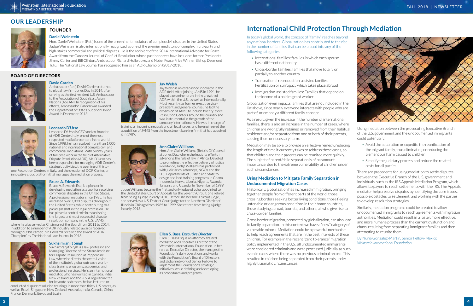In today's global world, the concept of "family" reaches beyond any national borders. Globalization has contributed to the rise in the number of families that can be placed into any of the following categories:

- International families: families in which each spouse has a different nationality
- Cross-border families: families that move totally or partially to another country
- Transnational reproduction-assisted families: Fertilization or surrogacy which takes place abroad
- Immigration-assisted families: Families that depend on the income of a paid migrant worker

Globalization even impacts families that are not included in the list above, since nearly everyone interacts with people who are part of, or embody a different family concept.

Mediation may be able to provide an effective remedy, reducing the length of time it currently takes to address these cases, so that children and their parents can be reunited more quickly. The subject of parent/child separation is of paramount importance, due to the extreme vulnerability of children under such circumstances.

# **Using Mediation to Mitigate Family Separation in Undocumented Migration Cases**

Historically, globalization has increased immigration, bringing together people from different parts of the world: those crossing borders seeking better living conditions, those fleeing untenable or dangerous conditions in their home countries, those studying abroad, tourists, and others, all who give rise to cross-border families.

As a result, given the increase in the number of international families, there is also an increase in the number of cases, where children are wrongfully retained or removed from their habitual residence and/or separated from one or both of their parents, causing them unnecessary harm. Using mediation between the prosecuting Executive Branch of the U.S. government and the undocumented immigrants could potentially:

Cross border migration, promoted by globalization, can also lead to family separation. In this context we have a "new" category of vulnerable minors. Mediation could be a powerful mechanism to help reach agreements that are in the best interests of these children. For example in the recent "zero tolerance" migration policy implemented in the U.S., all undocumented immigrants were considered criminals and were processed judicially as such, even in cases where there was no previous criminal record. This resulted in children being separated from their parents under highly traumatic circumstances.

- Avoid the separation or expedite the reunification of the migrant family, thus eliminating or reducing the tremendous harm caused to children
- Simplify the judiciary process and reduce the related costs for all parties

There are precedents for using mediation to settle disputes between the Executive Branch of the U.S. government and individuals, such as the IRS Appeals Mediation Program, which allows taxpayers to reach settlements with the IRS. The Appeals mediator helps resolve disputes by identifying the core issues, possible obstacles to settlement, and working with the parties to develop resolution strategies.

Similarly, mediation programs could be created to allow undocumented immigrants to reach agreements with migration authorities. Mediation could result in a faster, more effective, and more humane process than the current dysfunction and chaos, resulting from separating immigrant families and then attempting to reunite them.

By Nuria Gonzalez-Martin, Senior Fellow-Mexico *Weinstein International Foundation*

# **International Child Protection Through Mediation**

# **our Leadership**



# **Daniel Weinstein**

Hon. Daniel Weinstein (Ret.) is one of the preeminent mediators of complex civil disputes in the United States. Judge Weinstein is also internationally recognized as one of the premier mediators of complex, multi-party and high-stakes commercial and political disputes. He is the recipient of the 2014 International Advocate for Peace Award from the Cardozo Journal of Conflict Resolution, whose past honorees have included: former Presidents Jimmy Carter and Bill Clinton, Ambassador Richard Holbrooke, and Nobel Peace Prize Winner Bishop Desmond Tutu. The National Law Journal has recognized him as an ADR Champion (2017-2018).

### **David Carden**

Ambassador (Ret.) David Carden returned to global law firm Jones Day in 2014, after serving as the first resident U.S. Ambassador to the Association of South East Asian Nations (ASEAN). In recognition of his efforts, Ambassador Carden was awarded the Department of State's Superior Honor Award in December 2013.



### **Leonardo D'Urso**

Leonardo D'Urso is CEO and co-founder of ADR Center, Italy, one of the most respected mediation centers in the world. Since 1998, he has resolved more than 1,000 national and international complex civil and commercial mediations. With twenty years of full-time work in the field of Alternative Dispute Resolution (ADR), Mr. D'Urso has been responsible for managing ADR Center's strategic activities, the opening of thirty-

one Resolution Centers in Italy, and the creation of ODR Center, an innovative cloud platform that manages the mediation process.





### Bruce A. Edwards Esq. is a pioneer in developing mediation as a tool for resolving commercial disputes in the United States. A professional mediator since 1985, he has mediated over 7,000 disputes throughout the United States, while contributing to a paradigm shift in the legal profession. He has played a central role in establishing the largest and most successful dispute

resolution company in the U.S., JAMS, where he also served as Chairman of the Board from 2011 to 2014. In addition to a number of ADR industry related awards received throughout his career, Mr. Edwards received the award of "ADR Champion" by The National Law Journal in 2018.



### **Jay Welsh**

Jay Welsh is an established innovator in the ADR field. After joining JAMS in 1991, he played a prominent role in the growth of ADR within the U.S., as well as internationally. Most recently, as former executive vicepresident and general counsel, he led the expansion of JAMS to include twenty-three Resolution Centers around the country and was instrumental in the growth of the company internationally. He was in charge of

training all incoming neutrals and all legal issues, and he engineered the acquisition of JAMS from the investment banking firm that had acquired it in 1989.



### **Ann Claire Williams**

Hon. Ann Claire Williams (Ret.) is Of Counsel at Jones Day, where she leads its efforts in advancing the rule of law in Africa. Devoted to promoting the effective delivery of justice worldwide, Judge Williams has partnered with judiciaries, attorneys, NGOs and the U.S. Departments of Justice and State to design and lead training programs in Ghana, Indonesia, Kenya, Liberia, Nigeria, Rwanda, Tanzania and Uganda. In November of 1999,

Judge Williams became the first and only judge of color appointed to the United States Court of Appeals for the Seventh Circuit. She retired from being a judge in early 2018. Before she became a circuit judge, she served as a U.S. District Court judge for the Northern District of Illinois in Chicago from 1985 to 1999. She retired from being a judge in early 2018.

### **Sukhsimranjit Singh**

Sukhsimranjit Singh is a law professor and Managing Director of the Straus Institute for Dispute Resolution at Pepperdine Law, where he directs the overall vision of the Institute's global outreach, worldclass training programs, academics, and professional services. He is an international mediator, who has worked in Canada, India, New Zealand, and the U.S. A regular invitee for keynote addresses, he has lectured or

conducted dispute resolution trainings in more than thirty U.S. states, as well as Brazil, Singapore, New Zealand, Australia, India, Canada, China, France, Denmark, Egypt and Spain.



**Ellen S. Bass,** *Executive Director*  Ellen S. Bass Esq. is an attorney, trained mediator, and Executive Director of the Weinstein International Foundation. In her role as Executive Director, she manages the Foundation's daily operations and works with the Foundation's Board of Directors and global network of Senior Fellows to implement the Foundation's strategic initiatives, while defining and developing its procedures and programs.

# **board of directors**



# **founder**

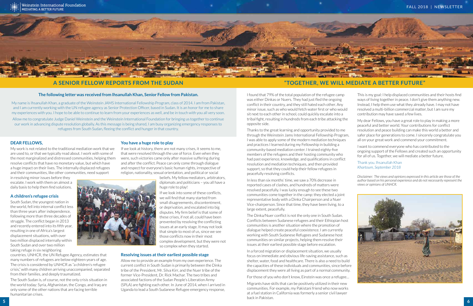# **Dear Fellows,**

My work is not related to the traditional mediation work that we are used to, or that we typically read about. I work with some of the most marginalized and distressed communities, helping them resolve conflicts that have no monetary value, but which have a huge impact on their lives. The internally displaced refugees and their communities, like other communities, need support

in resolving minor issues before they escalate. I work with them on almost a daily basis to help them find solutions.

# **A children's refugee crisis**

South Sudan, the youngest nation in the world, fell into internal conflict less than three years after independence, following more than three decades of struggle. The conflict began in 2013 and recently entered into its fifth year, resulting in one of Africa's largest displacement situations, with over two million displaced internally within South Sudan and over two million taking refuge in six neighboring

countries. UNHCR, the UN Refugee Agency, estimates that many numbers of refugees are below eighteen years of age. The crisis is considered by UNHCR as "a children's refugee crisis," with many children arriving unaccompanied, separated from their families, and deeply traumatized.

The South Sudan is, of course, not the only crisis situation in the world today: Syria, Afghanistan, the Congo, and Iraq are only some of the other nations that are facing terrible humanitarian crises.

# **You have a huge role to play**

If we look at history, there are not many crises, it seems to me, that were resolved through the use of force. Even when they were, such victories came only after massive suffering during and after the conflict. Peace can only come through dialogue and respect for everyone's basic human rights, irrespective of religion, nationality, sexual orientation, and political or social

> beliefs. My fellow mediators, arbitrators, diplomats and politicians – you all have a huge role to play!

> If we look into some of these conflicts, we will find that many started from small disagreements, discontentment, or deprivation, and escalated into big disputes. My firm belief is that some of these crises, if not all, could have been prevented by resolving the conflicting issues at an early stage. It may not look that simple to most of us, since we see those conflicts now in their most complex development, but they were not so complex when they started.

# **Resolving issues at their earliest possible stage**

Allow me to provide an example from my own experience. The current conflict in South Sudan is primarily between the Dinka tribe of the President, Mr. Silva Kirr, and the Nuer tribe of the former Vice-President, Dr. Rick Machar. The two tribes and associated factions of the Sudan People's Liberation Army (SPLA) are fighting each other. In June of 2014, when I arrived in Uganda to lead a South Sudanese Refugee emergency response, I found that 79% of the total population of the refugee camp was either Dinkas or Nuers. They had just fled the ongoing conflict in their country, and they still hated each other. Any minor issue, such as who would fetch water first or who would sit next to each other in school, could quickly escalate into a tribal fight, resulting in hundreds from each tribe attacking the opposite side.

Thanks to the great learning and opportunity provided to me through the Weinstein Jams International Fellowship Program, I was able to apply some of the modern mediation techniques and practices I learned during my Fellowship in building a community-based mediation center. I trained eighty-five members of the refugees and their hosting community who had past experience, knowledge, and qualifications in conflict resolution and mediation techniques, and then provided support, so that they could help their fellow refugees in peacefully resolving conflicts.

In less than six months' time, we saw a 70% decrease in reported cases of clashes, and hundreds of matters were resolved peacefully. I was lucky enough to see these two communities come together in the camp: they elected a joint representative body with a Dinka Chairperson and a Nuer Vice-chairperson. Since that time, they have been living, to a large extent, peacefully.

The Dinka/Nuer conflict is not the only one in South Sudan. Conflicts between Sudanese refugees and their Ethiopian host communities is another situation where the promotion of dialogue helped create peaceful coexistence. I am currently working with South Sudanese Refugees and Sudanese host communities on similar projects, helping them resolve their issues at their earliest possible stage before escalation.

In a forced migration or displacement situation, we usually focus on immediate and obvious life-saving assistance, such as shelter, water, food and healthcare. There is also a need to build the capacities of these individuals and communities, since before displacement they were all living as part of a normal community.

For those of you who don't know, Einstein was once a refugee…

This is my goal: I help displaced communities and their hosts find ways of living together in peace. I don't give them anything new. Instead, I help them use what they already have. I may not have resolved a multi-billion commercial matter, but I am sure my contribution may have saved a few lives.

Migrants have skills that can be positively utilized in their new communities. For example, my Pakistani friend who now works at a fuel station in California was formerly a senior civil lawyer back in Pakistan. **5 6**



My dear Fellows, you have a great role to play in making a more peaceful and better world. Your contributions for conflict resolution and peace building can make this world a better and safer place for generations to come. I sincerely congratulate you all on your great work and commend your commitment.

I want to commend everyone who has contributed to the ongoing support of the Fellows and created such an opportunity for all of us. Together, we will mediate a better future.

Thank you. Ihsanullah Khan *Khartoum, September 2018*

*Disclaimer: The views and opinions expressed in this article are those of the author based on his personal experience and do not necessarily represent the views or opinions of UNHCR.* 



# **A Senior Fellow Reports from the Sudan "Together, we will mediate a better future"**



### **The following letter was received from Ihsanullah Khan, Senior Fellow from Pakistan.**

My name is Ihsanullah Khan, a graduate of the Weinstein JAMS International Fellowship Program, class of 2014. I am from Pakistan, and I am currently working with the UN refugee agency as Senior Protection Officer, based in Sudan. It is an honor for me to share my experiences with you. I hope to be able to continue to learn from your experiences as well, and be in touch with you all very soon.

Allow me to congratulate Judge Daniel Weinstein and the Weinstein International Foundation for bringing us together to continue our work in advancing dispute resolution globally. As this message is being shared, I am busy organizing emergency responses to refugees from South Sudan, fleeing the conflict and hunger in that country.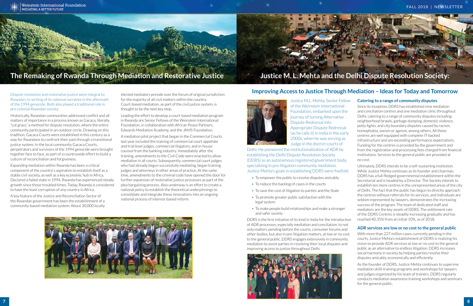Dispute resolution and restorative justice were integral to Rwanda's re-writing of its national narrative in the aftermath of the 1994 genocide. Both also played a traditional role in pre-colonial Rwandan society.

Historically, Rwandan communities addressed conflict and all matters of importance in a process known as Gacaca, literally, "cut grass," a method for dispute resolution, where the entire community participated in an outdoor circle. Drawing on this tradition, Gacaca Courts were established in this century as a way for Rwandans to confront their past through a transitional justice system. In the local community Gacaca Courts, perpetrators and survivors of the 1994 genocide were brought together face to face, as part of a countrywide effort to build a culture of reconciliation and forgiveness.

Expanding mediation within Rwanda has been a critical component of the country's aspiration to establish itself as a stable civil society, as well as a key economic hub in Africa. Declared a failed state in 1994, Rwanda has experienced steady growth since those troubled times. Today, Rwanda is considered to have the least corruption of any country in Africa.

A key feature of the Justice and Reconciliation Sector of the Rwandan government has been the establishment of a community-based mediation system. About 30,000 locally

elected mediators preside over the forum of original jurisdiction for the majority of all civil matters within the country. Court-based mediation, as part of the civil justice system, is thought to be the next key step.

Leading the effort to develop a court-based mediation program in Rwanda are Senior Fellows of the Weinstein International Foundation, in collaboration with African Peace Partners, Edwards Mediation Academy, and the JAMS Foundation.

A mediation pilot project that began in the Commercial Courts last year included the training of commercial court appellate and trial level judges, commercial litigators, and in-house counsel from the banking industry. Immediately after the training, amendments to the Civil Code were enacted to allow mediation in all courts. Subsequently, commercial court judges who had already begun successfully mediating, began training judges and attorneys in other areas of practice. At the same time, amendments to the criminal code have opened the door for further expansion of restorative justice processes as part of the plea bargaining process. Also underway is an effort to create a national policy to establish the theoretical underpinnings to consolidate and integrate these innovations into an ongoing national process of interest-based reform.







Justice M.L. Mehta, Senior Fellow of the Weinstein International Foundation, embarked upon the journey of turning Alternative Dispute Redressal into Appropriate Dispute Redressal (as he calls it) in India in the early 2000s, when he was serving as Judge in the district courts of

Delhi. He pioneered the institutionalization of ADR by establishing the Delhi Dispute Resolution Society (DDRS) as an autonomous registered government body, specializing in pre-litigation community mediation. Justice Mehta's goals in establishing DDRS were fivefold:

- To empower the public to resolve disputes amicably
- To reduce the backlog of cases in the courts
- To save the cost of litigation to parties and the State
- To promote greater public satisfaction with the legal system
- To make people build relationships and make a stronger and safer society

DDRS is the first initiative of its kind in India for the introduction of ADR processes, especially mediation and conciliation, to not only matters pending before the courts, consumer forums and other bodies, but also in pre-litigation matters, at low or no cost to the general public. DDRS engages extensively in community mediation to assist parties in resolving their local disputes and improving access to justice throughout Delhi.

# **Catering to a range of community disputes**

Since its inception, DDRS has established nine mediation and conciliation centres and one mediation clinic throughout Delhi, catering to a range of community disputes including: neighborhood brawls, garbage dumping, domestic violence, petty fights, and city boundary disputes caused by racism, homophobia, sexism or ageism, among others. All these centres are well equipped with complete IT-backed infrastructure and are exceeding performance expectations. Funding for the centres is provided by the government and from the registration and processing fees charged from financial institutions. Services to the general public are provided at no cost.

Ultimately, DDRS intends to be a self-sustaining institution. While Justice Mehta continues as its founder and chairman, DDRS has a full-fledged governmental establishment within the Secretariat and is headed by a Director. The Society intends to establish ten more centres in the unrepresented areas of the city of Delhi. The fact that the public has begun to directly approach the centres without referrals for its services, and individuals are seldom represented by lawyers, demonstrates the increasing success of the program. The team of dedicated staff and mediators are the key assets of DDRS. The settlement rate of the DDRS Centres is steadily increasing gradually and has reached 40.35% from an initial 10%, as of 2018.

### **ADR services are low or no cost to the general public**

With more than 227 million cases currently pending in the courts, Justice Mehta's establishment of DDRS is realizing his vision to provide ADR services at low or no cost to the general public as an alternative to endless litigation. DDRS increases social harmony in society by helping parties resolve their disputes amicably, economically and efficiently.

As the founder of DDRS, Justice Mehta continues to supervise mediation skills training programs and workshops for lawyers and judges organized by his team of trainers. DDRS regularly conducts mediation awareness training workshops and seminars for the general public.





# **The Remaking of Rwanda Through Mediation and Restorative Justice Justice M. L. Mehta and the Delhi Dispute Resolution Society:**

# **Improving Access to Justice Through Mediation – Ideas for Today and Tomorrow**

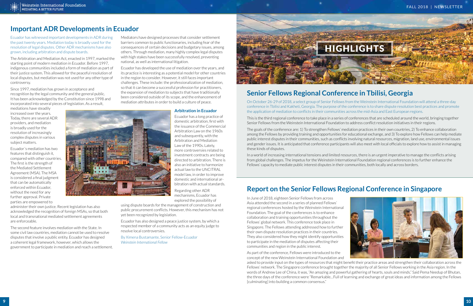In June of 2018, eighteen Senior Fellows from across Asia attended the second in a series of planned Fellows' regional conferences hosted by the Weinstein International Foundation. The goal of the conferences is to enhance collaboration and training opportunities throughout the Fellows' global network. This conference took place in Singapore. The Fellows attending addressed how to further their own dispute resolution practices in their countries. They also considered how they might identify opportunities to participate in the mediation of disputes affecting their communities and region in the public interest.

As part of the conference, Fellows were introduced to the concept of the new Weinstein International Foundation and asked to provide input on the types of resources that might benefit their practice areas and strengthen their collaboration across the Fellows' network. The Singapore conference brought together the majority of all Senior Fellows working in the Asia region. In the words of Andrew Lee of China, it was, "An amazing and powerful gathering of hearts, souls and minds." Said Pema Needup of Bhutan, the three days of the conference were "Remarkable…Full of learning and exchange of great ideas and information among the Fellows [culminating] into building a common consensus."



# **Senior Fellows Regional Conference in Tbilisi, Georgia**

On October 26-29 of 2018, a select group of Senior Fellows from the Weinstein International Foundation will attend a three-day conference in Tbilisi and Kakheti, Georgia. The purpose of the conference is to share dispute resolution best practices and promote the application of mediation to conflicts in their communities across the mid-Asia and East European regions.

This is the third regional conference to take place in a series of conferences that are scheduled around the world, bringing together Senior Fellows from the Weinstein International Foundation to address conflict resolution initiatives in their regions.

The goals of the conference are: 1) To strengthen Fellows' mediation practices in their own countries, 2) To enhance collaboration among the Fellows by providing training and opportunities for educational exchange, and 3) To explore how Fellows can help mediate public interest disputes in their communities, such as conflicts involving natural resources, migration, land use, environmental issues and gender issues. It is anticipated that conference participants will also meet with local officials to explore how to assist in managing these kinds of disputes.

In a world of increasing international tensions and limited resources, there is an urgent imperative to manage the conflicts arising from global challenges. The impetus for the Weinstein International Foundation regional conferences is to further enhance the Fellows' capacity to mediate public interest disputes in their communities, both locally and across borders.



Ecuador has witnessed important developments in ADR during the past twenty years. Mediation today is broadly used for the resolution of legal disputes. Other ADR mechanisms have also grown, including arbitration and dispute boards.

The Arbitration and Mediation Act, enacted in 1997, marked the starting point of modern mediation in Ecuador. Before 1997, indigenous communities included a form of mediation as part of their justice system. This allowed for the peaceful resolution of local disputes, but mediation was not used for any other type of controversy.

Since 1997, mediation has grown in acceptance and recognition by the legal community and the general public. It has been acknowledged by the Constitution since 1998 and incorporated into several pieces of legislation. As a result,

mediations have steadily increased over the years. Today, there are several ADR providers, and mediation is broadly used for the resolution of increasingly complex disputes in various subject matters.

Ecuador´s mediation has two features that distinguish it, compared with other countries. The first is the strength of the Mediated Settlement Agreement (MSA). The MSA is considered a final judgment that can be automatically enforced within Ecuador, without the need for any further approval. Private parties are empowered to

administer their own justice. Recent legislation has also acknowledged the recognition of foreign MSAs, so that both local and transnational mediated settlement agreements are enforceable.

The second feature involves mediation with the State. In some civil law countries, mediation cannot be used to resolve disputes that involve a public entity. Ecuador has designed a coherent legal framework, however, which allows the government to participate in mediation and reach a settlement.

Mediators have designed processes that consider settlement barriers common to public functionaries, including fear of the consequences of certain decisions and budgetary issues, among others. Through mediation, many highly complex legal disputes with high stakes have been successfully resolved, preventing national, as well as international litigation.

Ecuador has developed the use of mediation over the years, and its practice is interesting as a potential model for other countries in the region to consider. However, it still faces important challenges. These include: the professionalization of mediation, so that it can become a successful profession for practitioners, the expansion of mediation to subjects that have traditionally been considered outside of its scope, and the enhancement of mediation attributes in order to build a culture of peace.

# **Arbitration in Ecuador**

Ecuador has a long practice of domestic arbitration, first with the issuance of the Commercial Arbitration Law on the 1960s and subsequently, with the Arbitration and Mediation Law of the 1990s. Lately, more controversies related to investment contracts are being directed to arbitration. There is also an initiative to harmonize actual law to the UNCITRAL model law, in order to improve domestic and international arbitration with actual standards.

Regarding other ADR mechanisms, Ecuador has explored the possibility of

using dispute boards for the management of construction and public procurement conflicts. However, this mechanism has not yet been recognized by legislation.

Ecuador has also designed a peace justice system, by which a respected member of a community acts as an equity judge to resolve local controversies.

By Ximena Bustamante, Senior Fellow-Ecuador *Weinstein International Fellow*

# **Important ADR Developments in Ecuador**



# **Report on the Senior Fellows Regional Conference in Singapore**